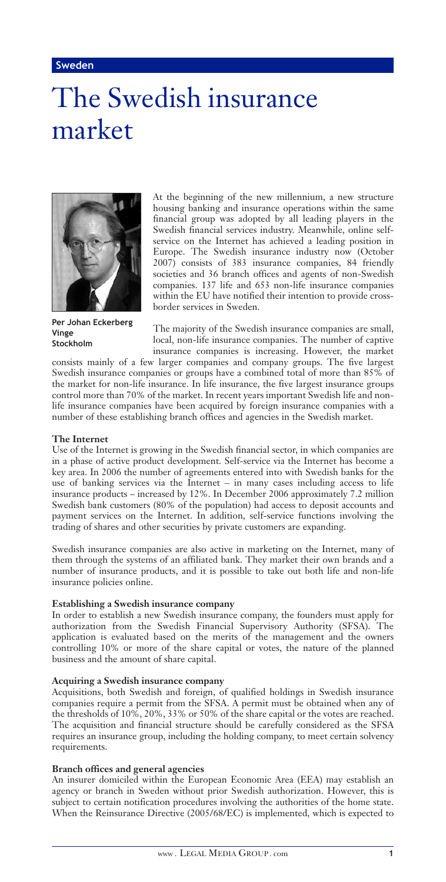# The Swedish insurance market



**Per Johan Eckerberg Vinge Stockholm**

At the beginning of the new millennium, a new structure housing banking and insurance operations within the same financial group was adopted by all leading players in the Swedish financial services industry. Meanwhile, online selfservice on the Internet has achieved a leading position in Europe. The Swedish insurance industry now (October  $2007$ ) consists of 383 insurance companies, 84 friendly societies and 36 branch offices and agents of non-Swedish companies. 137 life and 653 non-life insurance companies within the EU have notified their intention to provide crossborder services in Sweden.

The majority of the Swedish insurance companies are small, local, non-life insurance companies. The number of captive insurance companies is increasing. However, the market

consists mainly of a few larger companies and company groups. The five largest Swedish insurance companies or groups have a combined total of more than 85% of the market for non-life insurance. In life insurance, the five largest insurance groups control more than 70% of the market. In recent years important Swedish life and nonlife insurance companies have been acquired by foreign insurance companies with a number of these establishing branch offices and agencies in the Swedish market.

## **The Internet**

Use of the Internet is growing in the Swedish financial sector, in which companies are in a phase of active product development. Self-service via the Internet has become a key area. In 2006 the number of agreements entered into with Swedish banks for the use of banking services via the Internet – in many cases including access to life insurance products – increased by 12%. In December 2006 approximately 7.2 million Swedish bank customers (80% of the population) had access to deposit accounts and payment services on the Internet. In addition, self-service functions involving the trading of shares and other securities by private customers are expanding.

Swedish insurance companies are also active in marketing on the Internet, many of them through the systems of an affiliated bank. They market their own brands and a number of insurance products, and it is possible to take out both life and non-life insurance policies online.

## **Establishing a Swedish insurance company**

In order to establish a new Swedish insurance company, the founders must apply for authorization from the Swedish Financial Supervisory Authority (SFSA). The application is evaluated based on the merits of the management and the owners controlling 10% or more of the share capital or votes, the nature of the planned business and the amount of share capital.

## **Acquiring a Swedish insurance company**

Acquisitions, both Swedish and foreign, of qualified holdings in Swedish insurance companies require a permit from the SFSA. A permit must be obtained when any of the thresholds of 10%, 20%, 33% or 50% of the share capital or the votes are reached. The acquisition and financial structure should be carefully considered as the SFSA requires an insurance group, including the holding company, to meet certain solvency requirements.

## **Branch offices and general agencies**

An insurer domiciled within the European Economic Area (EEA) may establish an agency or branch in Sweden without prior Swedish authorization. However, this is subject to certain notification procedures involving the authorities of the home state. When the Reinsurance Directive (2005/68/EC) is implemented, which is expected to